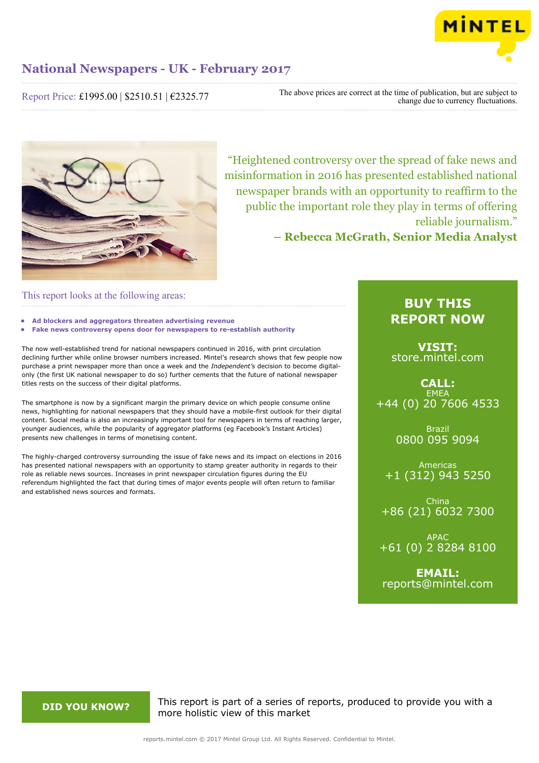

Report Price: £1995.00 | \$2510.51 | €2325.77

The above prices are correct at the time of publication, but are subject to change due to currency fluctuations.



"Heightened controversy over the spread of fake news and misinformation in 2016 has presented established national newspaper brands with an opportunity to reaffirm to the public the important role they play in terms of offering reliable journalism."

**– Rebecca McGrath, Senior Media Analyst**

#### This report looks at the following areas:

- **• Ad blockers and aggregators threaten advertising revenue**
- **• Fake news controversy opens door for newspapers to re-establish authority**

The now well-established trend for national newspapers continued in 2016, with print circulation declining further while online browser numbers increased. Mintel's research shows that few people now purchase a print newspaper more than once a week and the *Independent's* decision to become digitalonly (the first UK national newspaper to do so) further cements that the future of national newspaper titles rests on the success of their digital platforms.

The smartphone is now by a significant margin the primary device on which people consume online news, highlighting for national newspapers that they should have a mobile-first outlook for their digital content. Social media is also an increasingly important tool for newspapers in terms of reaching larger, younger audiences, while the popularity of aggregator platforms (eg Facebook's Instant Articles) presents new challenges in terms of monetising content.

The highly-charged controversy surrounding the issue of fake news and its impact on elections in 2016 has presented national newspapers with an opportunity to stamp greater authority in regards to their role as reliable news sources. Increases in print newspaper circulation figures during the EU referendum highlighted the fact that during times of major events people will often return to familiar and established news sources and formats.

### **BUY THIS REPORT NOW**

**VISIT:** [store.mintel.com](http://reports.mintel.com//display/store/792377/)

**CALL: EMEA** +44 (0) 20 7606 4533

> Brazil 0800 095 9094

Americas +1 (312) 943 5250

China +86 (21) 6032 7300

APAC +61 (0) 2 8284 8100

**EMAIL:** [reports@mintel.com](mailto:reports@mintel.com)

**DID YOU KNOW?** This report is part of a series of reports, produced to provide you with a more holistic view of this market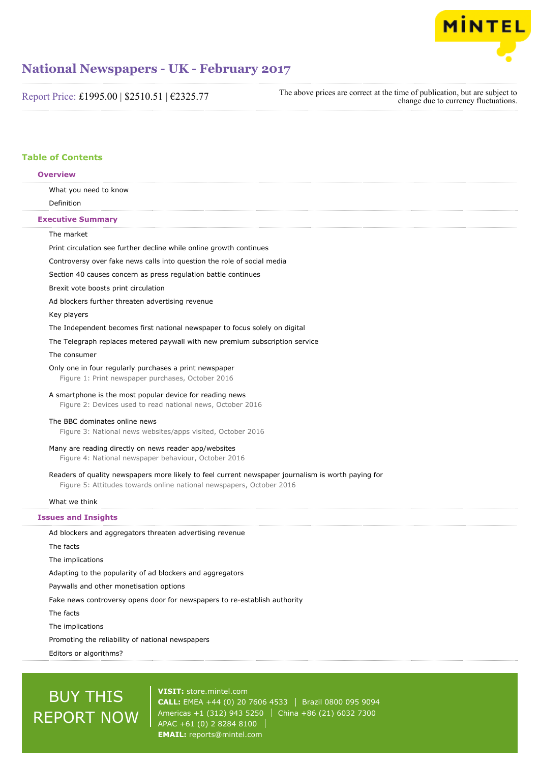

Report Price: £1995.00 | \$2510.51 | €2325.77

The above prices are correct at the time of publication, but are subject to change due to currency fluctuations.

#### **Table of Contents**

| What you need to know<br>Definition<br><b>Executive Summary</b><br>The market<br>Print circulation see further decline while online growth continues                       |  |
|----------------------------------------------------------------------------------------------------------------------------------------------------------------------------|--|
|                                                                                                                                                                            |  |
|                                                                                                                                                                            |  |
|                                                                                                                                                                            |  |
|                                                                                                                                                                            |  |
|                                                                                                                                                                            |  |
| Controversy over fake news calls into question the role of social media                                                                                                    |  |
| Section 40 causes concern as press regulation battle continues                                                                                                             |  |
| Brexit vote boosts print circulation                                                                                                                                       |  |
| Ad blockers further threaten advertising revenue                                                                                                                           |  |
| Key players                                                                                                                                                                |  |
| The Independent becomes first national newspaper to focus solely on digital                                                                                                |  |
| The Telegraph replaces metered paywall with new premium subscription service                                                                                               |  |
| The consumer                                                                                                                                                               |  |
| Only one in four regularly purchases a print newspaper<br>Figure 1: Print newspaper purchases, October 2016                                                                |  |
| A smartphone is the most popular device for reading news<br>Figure 2: Devices used to read national news, October 2016                                                     |  |
| The BBC dominates online news<br>Figure 3: National news websites/apps visited, October 2016                                                                               |  |
| Many are reading directly on news reader app/websites<br>Figure 4: National newspaper behaviour, October 2016                                                              |  |
| Readers of quality newspapers more likely to feel current newspaper journalism is worth paying for<br>Figure 5: Attitudes towards online national newspapers, October 2016 |  |
| What we think                                                                                                                                                              |  |
| <b>Issues and Insights</b>                                                                                                                                                 |  |
| Ad blockers and aggregators threaten advertising revenue                                                                                                                   |  |
| The facts                                                                                                                                                                  |  |
| The implications                                                                                                                                                           |  |
| Adapting to the popularity of ad blockers and aggregators                                                                                                                  |  |
| Paywalls and other monetisation options                                                                                                                                    |  |
| Fake news controversy opens door for newspapers to re-establish authority                                                                                                  |  |
| The facts                                                                                                                                                                  |  |
| The implications                                                                                                                                                           |  |
| Promoting the reliability of national newspapers                                                                                                                           |  |
| Editors or algorithms?                                                                                                                                                     |  |

# **BUY THIS** REPORT NOW

**VISIT:** [store.mintel.com](http://reports.mintel.com//display/store/792377/) **CALL:** EMEA +44 (0) 20 7606 4533 | Brazil 0800 095 9094 Americas +1 (312) 943 5250 China +86 (21) 6032 7300 APAC +61 (0) 2 8284 8100 **EMAIL:** [reports@mintel.com](mailto:reports@mintel.com)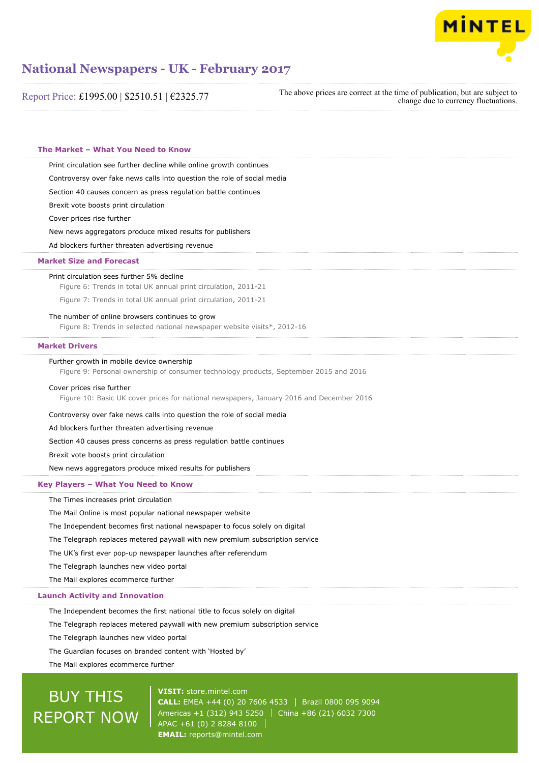

| Report Price: £1995.00   \$2510.51   €2325.77                                                                                      | The above prices are correct at the time of publication, but are subject to<br>change due to currency fluctuations. |
|------------------------------------------------------------------------------------------------------------------------------------|---------------------------------------------------------------------------------------------------------------------|
| The Market - What You Need to Know                                                                                                 |                                                                                                                     |
| Print circulation see further decline while online growth continues                                                                |                                                                                                                     |
| Controversy over fake news calls into question the role of social media                                                            |                                                                                                                     |
| Section 40 causes concern as press regulation battle continues                                                                     |                                                                                                                     |
| Brexit vote boosts print circulation                                                                                               |                                                                                                                     |
| Cover prices rise further                                                                                                          |                                                                                                                     |
| New news aggregators produce mixed results for publishers                                                                          |                                                                                                                     |
| Ad blockers further threaten advertising revenue                                                                                   |                                                                                                                     |
| <b>Market Size and Forecast</b>                                                                                                    |                                                                                                                     |
| Print circulation sees further 5% decline<br>Figure 6: Trends in total UK annual print circulation, 2011-21                        |                                                                                                                     |
| Figure 7: Trends in total UK annual print circulation, 2011-21                                                                     |                                                                                                                     |
| The number of online browsers continues to grow<br>Figure 8: Trends in selected national newspaper website visits*, 2012-16        |                                                                                                                     |
| <b>Market Drivers</b>                                                                                                              |                                                                                                                     |
| Further growth in mobile device ownership<br>Figure 9: Personal ownership of consumer technology products, September 2015 and 2016 |                                                                                                                     |
| Cover prices rise further<br>Figure 10: Basic UK cover prices for national newspapers, January 2016 and December 2016              |                                                                                                                     |
| Controversy over fake news calls into question the role of social media                                                            |                                                                                                                     |
| Ad blockers further threaten advertising revenue                                                                                   |                                                                                                                     |
| Section 40 causes press concerns as press regulation battle continues                                                              |                                                                                                                     |
| Brexit vote boosts print circulation                                                                                               |                                                                                                                     |
| New news aggregators produce mixed results for publishers                                                                          |                                                                                                                     |
| Key Players - What You Need to Know                                                                                                |                                                                                                                     |
| The Times increases print circulation                                                                                              |                                                                                                                     |
| The Mail Online is most popular national newspaper website                                                                         |                                                                                                                     |
| The Independent becomes first national newspaper to focus solely on digital                                                        |                                                                                                                     |
| The Telegraph replaces metered paywall with new premium subscription service                                                       |                                                                                                                     |
| The UK's first ever pop-up newspaper launches after referendum                                                                     |                                                                                                                     |
| The Telegraph launches new video portal                                                                                            |                                                                                                                     |
| The Mail explores ecommerce further                                                                                                |                                                                                                                     |
| <b>Launch Activity and Innovation</b>                                                                                              |                                                                                                                     |
| The Independent becomes the first national title to focus solely on digital                                                        |                                                                                                                     |
| The Telegraph replaces metered paywall with new premium subscription service                                                       |                                                                                                                     |
| The Telegraph launches new video portal                                                                                            |                                                                                                                     |

The Guardian focuses on branded content with 'Hosted by'

The Mail explores ecommerce further

# **BUY THIS** REPORT NOW

**VISIT:** [store.mintel.com](http://reports.mintel.com//display/store/792377/) **CALL:** EMEA +44 (0) 20 7606 4533 | Brazil 0800 095 9094 Americas +1 (312) 943 5250 China +86 (21) 6032 7300 APAC +61 (0) 2 8284 8100 **EMAIL:** [reports@mintel.com](mailto:reports@mintel.com)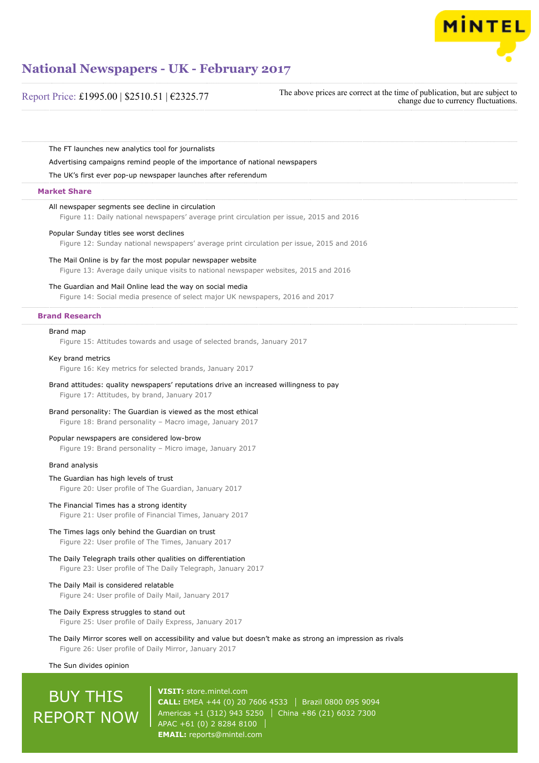

#### Report Price: £1995.00 | \$2510.51 | €2325.77

The above prices are correct at the time of publication, but are subject to change due to currency fluctuations.

The FT launches new analytics tool for journalists

Advertising campaigns remind people of the importance of national newspapers

The UK's first ever pop-up newspaper launches after referendum

#### **Market Share**

#### All newspaper segments see decline in circulation

Figure 11: Daily national newspapers' average print circulation per issue, 2015 and 2016

#### Popular Sunday titles see worst declines

Figure 12: Sunday national newspapers' average print circulation per issue, 2015 and 2016

#### The Mail Online is by far the most popular newspaper website

Figure 13: Average daily unique visits to national newspaper websites, 2015 and 2016

#### The Guardian and Mail Online lead the way on social media

Figure 14: Social media presence of select major UK newspapers, 2016 and 2017

#### **Brand Research**

#### Brand map

Figure 15: Attitudes towards and usage of selected brands, January 2017

#### Key brand metrics

Figure 16: Key metrics for selected brands, January 2017

#### Brand attitudes: quality newspapers' reputations drive an increased willingness to pay Figure 17: Attitudes, by brand, January 2017

#### Brand personality: The Guardian is viewed as the most ethical

Figure 18: Brand personality – Macro image, January 2017

#### Popular newspapers are considered low-brow

Figure 19: Brand personality – Micro image, January 2017

#### Brand analysis

#### The Guardian has high levels of trust

Figure 20: User profile of The Guardian, January 2017

#### The Financial Times has a strong identity

Figure 21: User profile of Financial Times, January 2017

#### The Times lags only behind the Guardian on trust

Figure 22: User profile of The Times, January 2017

#### The Daily Telegraph trails other qualities on differentiation

Figure 23: User profile of The Daily Telegraph, January 2017

#### The Daily Mail is considered relatable

Figure 24: User profile of Daily Mail, January 2017

#### The Daily Express struggles to stand out

Figure 25: User profile of Daily Express, January 2017

#### The Daily Mirror scores well on accessibility and value but doesn't make as strong an impression as rivals Figure 26: User profile of Daily Mirror, January 2017

The Sun divides opinion

## BUY THIS REPORT NOW

**VISIT:** [store.mintel.com](http://reports.mintel.com//display/store/792377/) **CALL:** EMEA +44 (0) 20 7606 4533 Brazil 0800 095 9094 Americas +1 (312) 943 5250 | China +86 (21) 6032 7300 APAC +61 (0) 2 8284 8100 **EMAIL:** [reports@mintel.com](mailto:reports@mintel.com)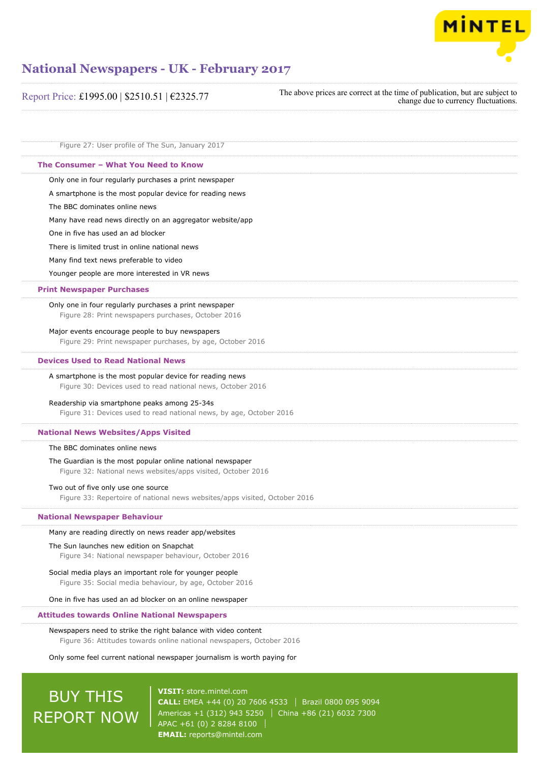

| Report Price: £1995.00   \$2510.51   €2325.77                                                                                           | The above prices are correct at the time of publication, but are subject to<br>change due to currency fluctuations. |
|-----------------------------------------------------------------------------------------------------------------------------------------|---------------------------------------------------------------------------------------------------------------------|
| Figure 27: User profile of The Sun, January 2017                                                                                        |                                                                                                                     |
| The Consumer - What You Need to Know                                                                                                    |                                                                                                                     |
| Only one in four regularly purchases a print newspaper                                                                                  |                                                                                                                     |
| A smartphone is the most popular device for reading news                                                                                |                                                                                                                     |
| The BBC dominates online news                                                                                                           |                                                                                                                     |
| Many have read news directly on an aggregator website/app                                                                               |                                                                                                                     |
| One in five has used an ad blocker                                                                                                      |                                                                                                                     |
| There is limited trust in online national news                                                                                          |                                                                                                                     |
| Many find text news preferable to video                                                                                                 |                                                                                                                     |
| Younger people are more interested in VR news                                                                                           |                                                                                                                     |
| <b>Print Newspaper Purchases</b>                                                                                                        |                                                                                                                     |
| Only one in four regularly purchases a print newspaper<br>Figure 28: Print newspapers purchases, October 2016                           |                                                                                                                     |
| Major events encourage people to buy newspapers<br>Figure 29: Print newspaper purchases, by age, October 2016                           |                                                                                                                     |
| <b>Devices Used to Read National News</b>                                                                                               |                                                                                                                     |
| A smartphone is the most popular device for reading news<br>Figure 30: Devices used to read national news, October 2016                 |                                                                                                                     |
| Readership via smartphone peaks among 25-34s<br>Figure 31: Devices used to read national news, by age, October 2016                     |                                                                                                                     |
| <b>National News Websites/Apps Visited</b>                                                                                              |                                                                                                                     |
| The BBC dominates online news                                                                                                           |                                                                                                                     |
| The Guardian is the most popular online national newspaper<br>Figure 32: National news websites/apps visited, October 2016              |                                                                                                                     |
| Two out of five only use one source<br>Figure 33: Repertoire of national news websites/apps visited, October 2016                       |                                                                                                                     |
| <b>National Newspaper Behaviour</b>                                                                                                     |                                                                                                                     |
| Many are reading directly on news reader app/websites                                                                                   |                                                                                                                     |
| The Sun launches new edition on Snapchat<br>Figure 34: National newspaper behaviour, October 2016                                       |                                                                                                                     |
| Social media plays an important role for younger people<br>Figure 35: Social media behaviour, by age, October 2016                      |                                                                                                                     |
| One in five has used an ad blocker on an online newspaper                                                                               |                                                                                                                     |
| <b>Attitudes towards Online National Newspapers</b>                                                                                     |                                                                                                                     |
| Newspapers need to strike the right balance with video content<br>Figure 36: Attitudes towards online national newspapers, October 2016 |                                                                                                                     |
| Only some feel current national newspaper journalism is worth paying for                                                                |                                                                                                                     |

# **BUY THIS** REPORT NOW

**VISIT:** [store.mintel.com](http://reports.mintel.com//display/store/792377/) **CALL:** EMEA +44 (0) 20 7606 4533 | Brazil 0800 095 9094 Americas +1 (312) 943 5250 China +86 (21) 6032 7300 APAC +61 (0) 2 8284 8100 **EMAIL:** [reports@mintel.com](mailto:reports@mintel.com)